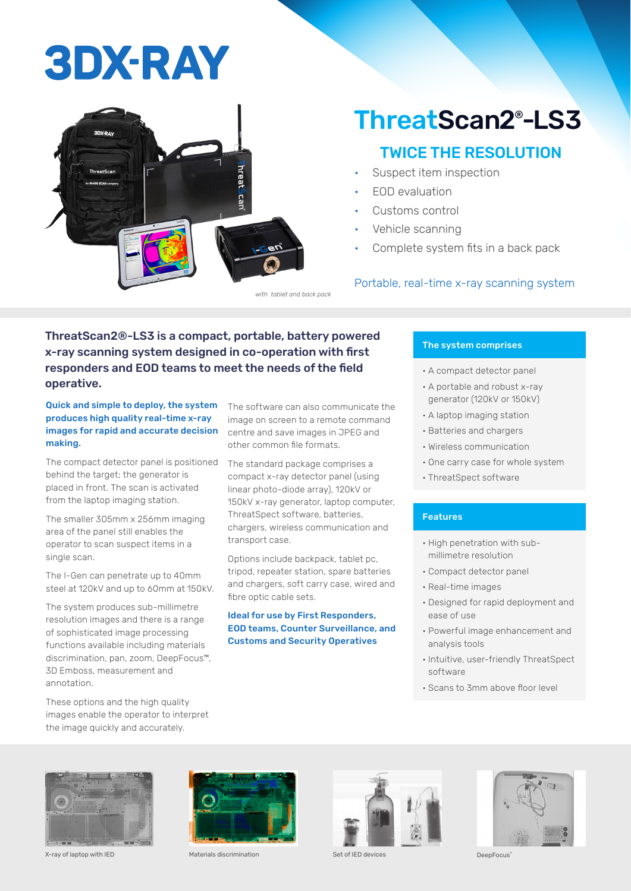# **3DX-RAY**



### ThreatScan2® -LS3

### TWICE THE RESOLUTION

- Suspect item inspection
- EOD evaluation
- Customs control
- Vehicle scanning
- Complete system fits in a back pack

#### Portable, real-time x-ray scanning system

ThreatScan2®-LS3 is a compact, portable, battery powered x-ray scanning system designed in co-operation with first responders and EOD teams to meet the needs of the field operative.

Quick and simple to deploy, the system produces high quality real-time x-ray images for rapid and accurate decision making.

The compact detector panel is positioned behind the target; the generator is placed in front. The scan is activated from the laptop imaging station.

The smaller 305mm x 256mm imaging area of the panel still enables the operator to scan suspect items in a single scan.

The I-Gen can penetrate up to 40mm steel at 120kV and up to 60mm at 150kV.

The system produces sub-millimetre resolution images and there is a range of sophisticated image processing functions available including materials discrimination, pan, zoom, DeepFocus™, 3D Emboss, measurement and annotation.

These options and the high quality images enable the operator to interpret the image quickly and accurately.

The software can also communicate the image on screen to a remote command centre and save images in JPEG and other common file formats.

The standard package comprises a compact x-ray detector panel (using linear photo-diode array), 120kV or 150kV x-ray generator, laptop computer, ThreatSpect software, batteries, chargers, wireless communication and transport case.

Options include backpack, tablet pc, tripod, repeater station, spare batteries and chargers, soft carry case, wired and fibre optic cable sets.

#### Ideal for use by First Responders, EOD teams, Counter Surveillance, and Customs and Security Operatives

#### The system comprises

- A compact detector panel
- A portable and robust x-ray generator (120kV or 150kV)
- A laptop imaging station
- Batteries and chargers
- Wireless communication
- One carry case for whole system
- ThreatSpect software

#### Features

- High penetration with submillimetre resolution
- Compact detector panel
- Real-time images
- Designed for rapid deployment and ease of use
- Powerful image enhancement and analysis tools
- Intuitive, user-friendly ThreatSpect software
- Scans to 3mm above floor level









X-ray of laptop with IED Materials discrimination Set of IED devices DeepFocus